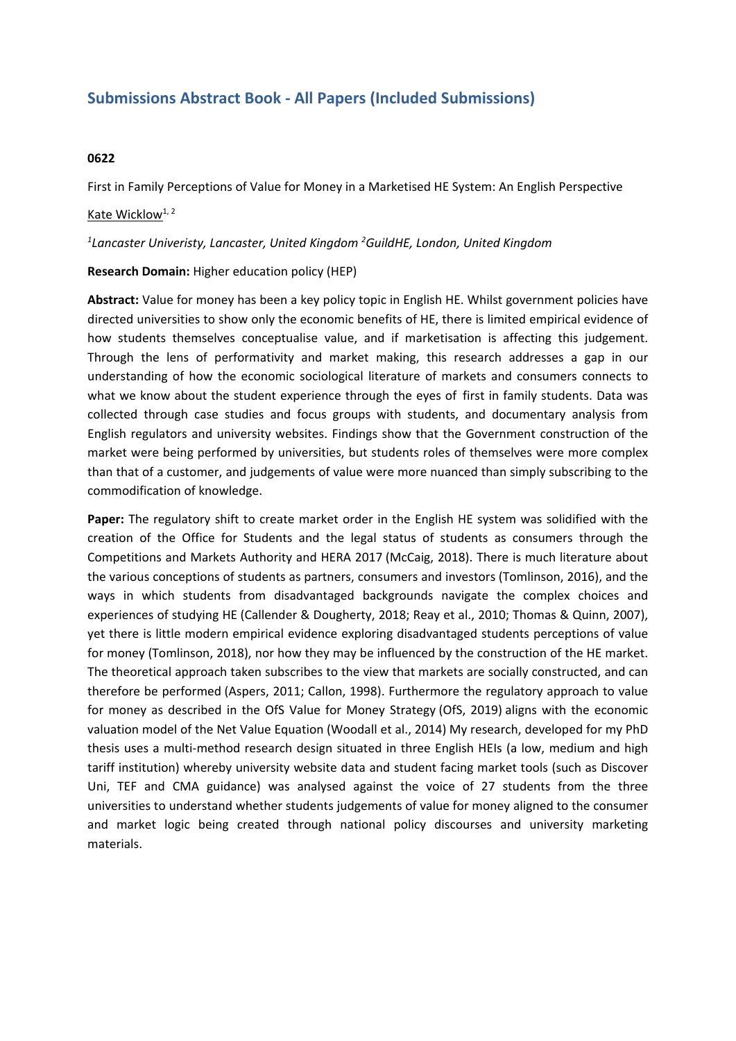# **Submissions Abstract Book - All Papers (Included Submissions)**

## **0622**

First in Family Perceptions of Value for Money in <sup>a</sup> Marketised HE System: An English Perspective

### Kate Wicklow $1, 2$

#### *1 Lancaster Univeristy, Lancaster, United Kingdom <sup>2</sup> GuildHE, London, United Kingdom*

### **Research Domain:** Higher education policy (HEP)

**Abstract:** Value for money has been <sup>a</sup> key policy topic in English HE. Whilst government policies have directed universities to show only the economic benefits of HE, there is limited empirical evidence of how students themselves conceptualise value, and if marketisation is affecting this judgement. Through the lens of performativity and market making, this research addresses <sup>a</sup> gap in our understanding of how the economic sociological literature of markets and consumers connects to what we know about the student experience through the eyes of first in family students. Data was collected through case studies and focus groups with students, and documentary analysis from English regulators and university websites. Findings show that the Government construction of the market were being performed by universities, but students roles of themselves were more complex than that of <sup>a</sup> customer, and judgements of value were more nuanced than simply subscribing to the commodification of knowledge.

**Paper:** The regulatory shift to create market order in the English HE system was solidified with the creation of the Office for Students and the legal status of students as consumers through the Competitions and Markets Authority and HERA 2017 (McCaig, 2018). There is much literature about the various conceptions of students as partners, consumers and investors (Tomlinson, 2016), and the ways in which students from disadvantaged backgrounds navigate the complex choices and experiences of studying HE (Callender & Dougherty, 2018; Reay et al., 2010; Thomas & Quinn, 2007), yet there is little modern empirical evidence exploring disadvantaged students perceptions of value for money (Tomlinson, 2018), nor how they may be influenced by the construction of the HE market. The theoretical approach taken subscribes to the view that markets are socially constructed, and can therefore be performed (Aspers, 2011; Callon, 1998). Furthermore the regulatory approach to value for money as described in the OfS Value for Money Strategy (OfS, 2019) aligns with the economic valuation model of the Net Value Equation (Woodall et al., 2014) My research, developed for my PhD thesis uses <sup>a</sup> multi-method research design situated in three English HEIs (a low, medium and high tariff institution) whereby university website data and student facing market tools (such as Discover Uni, TEF and CMA guidance) was analysed against the voice of 27 students from the three universities to understand whether students judgements of value for money aligned to the consumer and market logic being created through national policy discourses and university marketing materials.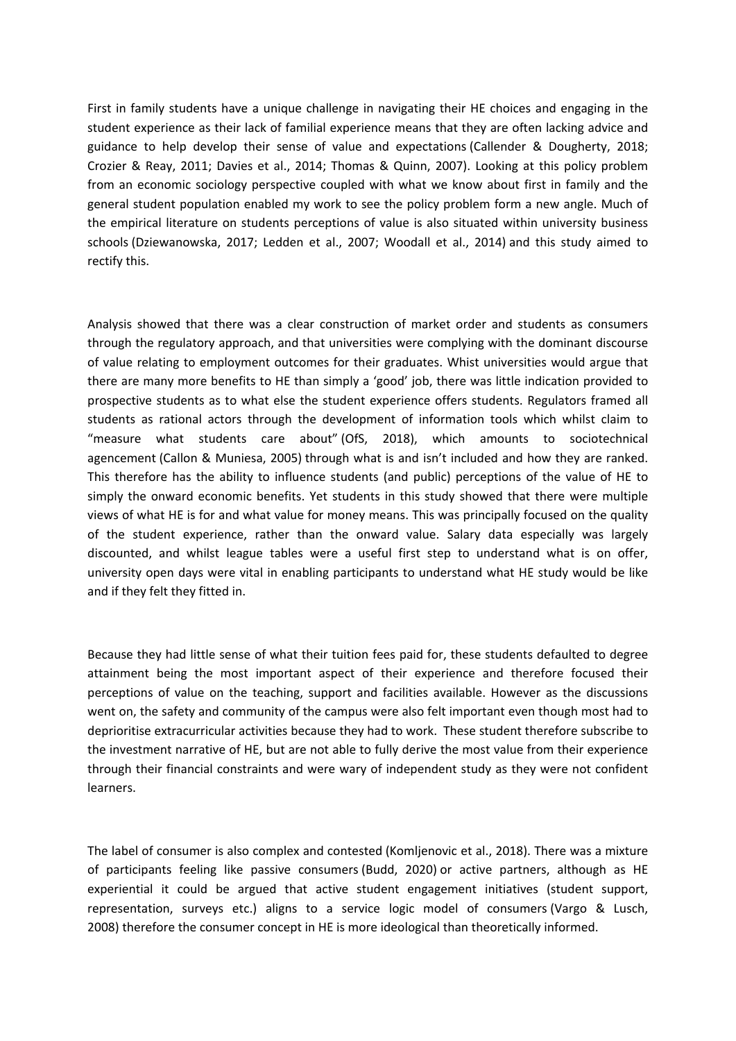First in family students have <sup>a</sup> unique challenge in navigating their HE choices and engaging in the student experience as their lack of familial experience means that they are often lacking advice and guidance to help develop their sense of value and expectations (Callender & Dougherty, 2018; Crozier & Reay, 2011; Davies et al., 2014; Thomas & Quinn, 2007). Looking at this policy problem from an economic sociology perspective coupled with what we know about first in family and the general student population enabled my work to see the policy problem form <sup>a</sup> new angle. Much of the empirical literature on students perceptions of value is also situated within university business schools (Dziewanowska, 2017; Ledden et al., 2007; Woodall et al., 2014) and this study aimed to rectify this.

Analysis showed that there was <sup>a</sup> clear construction of market order and students as consumers through the regulatory approach, and that universities were complying with the dominant discourse of value relating to employment outcomes for their graduates. Whist universities would argue that there are many more benefits to HE than simply <sup>a</sup> 'good' job, there was little indication provided to prospective students as to what else the student experience offers students. Regulators framed all students as rational actors through the development of information tools which whilst claim to "measure what students care about" (OfS, 2018), which amounts to sociotechnical agencement (Callon & Muniesa, 2005) through what is and isn't included and how they are ranked. This therefore has the ability to influence students (and public) perceptions of the value of HE to simply the onward economic benefits. Yet students in this study showed that there were multiple views of what HE is for and what value for money means. This was principally focused on the quality of the student experience, rather than the onward value. Salary data especially was largely discounted, and whilst league tables were <sup>a</sup> useful first step to understand what is on offer, university open days were vital in enabling participants to understand what HE study would be like and if they felt they fitted in.

Because they had little sense of what their tuition fees paid for, these students defaulted to degree attainment being the most important aspect of their experience and therefore focused their perceptions of value on the teaching, support and facilities available. However as the discussions went on, the safety and community of the campus were also felt important even though most had to deprioritise extracurricular activities because they had to work. These student therefore subscribe to the investment narrative of HE, but are not able to fully derive the most value from their experience through their financial constraints and were wary of independent study as they were not confident learners.

The label of consumer is also complex and contested (Komljenovic et al., 2018). There was <sup>a</sup> mixture of participants feeling like passive consumers (Budd, 2020) or active partners, although as HE experiential it could be argued that active student engagement initiatives (student support, representation, surveys etc.) aligns to <sup>a</sup> service logic model of consumers (Vargo & Lusch, 2008) therefore the consumer concept in HE is more ideological than theoretically informed.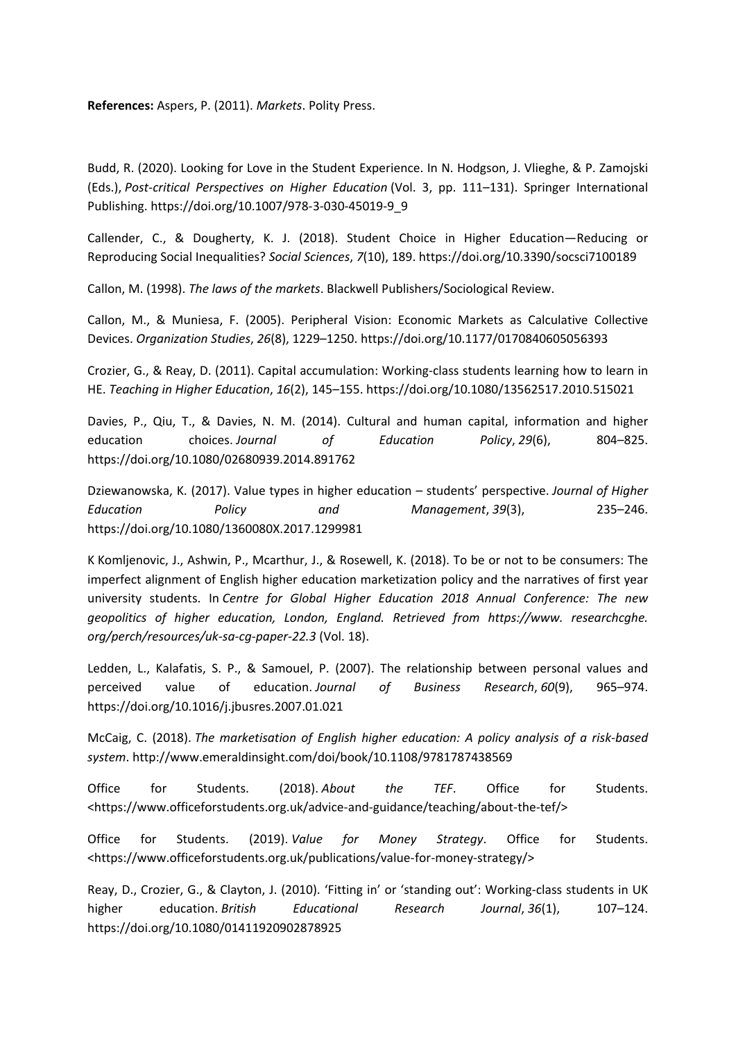**References:** Aspers, P. (2011). *Markets*. Polity Press.

Budd, R. (2020). Looking for Love in the Student Experience. In N. Hodgson, J. Vlieghe, & P. Zamojski (Eds.), *Post-critical Perspectives on Higher Education* (Vol. 3, pp. 111–131). Springer International Publishing. https://doi.org/10.1007/978-3-030-45019-9\_9

Callender, C., & Dougherty, K. J. (2018). Student Choice in Higher Education—Reducing or Reproducing Social Inequalities? *Social Sciences*, *7*(10), 189. https://doi.org/10.3390/socsci7100189

Callon, M. (1998). *The laws of the markets*. Blackwell Publishers/Sociological Review.

Callon, M., & Muniesa, F. (2005). Peripheral Vision: Economic Markets as Calculative Collective Devices. *Organization Studies*, *26*(8), 1229–1250. https://doi.org/10.1177/0170840605056393

Crozier, G., & Reay, D. (2011). Capital accumulation: Working-class students learning how to learn in HE. *Teaching in Higher Education*, *16*(2), 145–155. https://doi.org/10.1080/13562517.2010.515021

Davies, P., Qiu, T., & Davies, N. M. (2014). Cultural and human capital, information and higher education choices. *Journal of Education Policy*, *29*(6), 804–825. https://doi.org/10.1080/02680939.2014.891762

Dziewanowska, K. (2017). Value types in higher education – students' perspective. *Journal of Higher Education Policy and Management*, *39*(3), 235–246. https://doi.org/10.1080/1360080X.2017.1299981

K Komljenovic, J., Ashwin, P., Mcarthur, J., & Rosewell, K. (2018). To be or not to be consumers: The imperfect alignment of English higher education marketization policy and the narratives of first year university students. In *Centre for Global Higher Education 2018 Annual Conference: The new geopolitics of higher education, London, England. Retrieved from https://www. researchcghe. org/perch/resources/uk-sa-cg-paper-22.3* (Vol. 18).

Ledden, L., Kalafatis, S. P., & Samouel, P. (2007). The relationship between personal values and perceived value of education. *Journal of Business Research*, *60*(9), 965–974. https://doi.org/10.1016/j.jbusres.2007.01.021

McCaig, C. (2018). *The marketisation of English higher education: A policy analysis of <sup>a</sup> risk-based system*. http://www.emeraldinsight.com/doi/book/10.1108/9781787438569

Office for Students. (2018). *About the TEF*. Office for Students. <https://www.officeforstudents.org.uk/advice-and-guidance/teaching/about-the-tef/>

Office for Students. (2019). *Value for Money Strategy*. Office for Students. <https://www.officeforstudents.org.uk/publications/value-for-money-strategy/>

Reay, D., Crozier, G., & Clayton, J. (2010). 'Fitting in' or 'standing out': Working‐class students in UK higher education. *British Educational Research Journal*, *36*(1), 107–124. https://doi.org/10.1080/01411920902878925